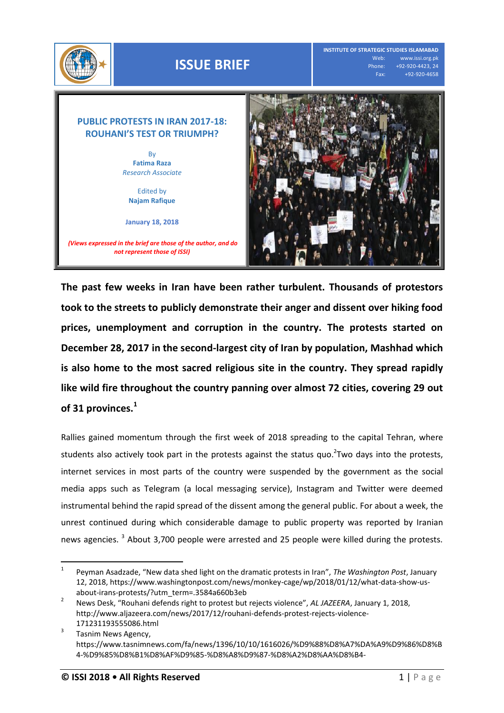

**The past few weeks in Iran have been rather turbulent. Thousands of protestors took to the streets to publicly demonstrate their anger and dissent over hiking food prices, unemployment and corruption in the country. The protests started on December 28, 2017 in the second-largest city of Iran by population, Mashhad which is also home to the most sacred religious site in the country. They spread rapidly like wild fire throughout the country panning over almost 72 cities, covering 29 out of 31 provinces.<sup>1</sup>**

Rallies gained momentum through the first week of 2018 spreading to the capital Tehran, where students also actively took part in the protests against the status quo.<sup>2</sup>Two days into the protests, internet services in most parts of the country were suspended by the government as the social media apps such as Telegram (a local messaging service), Instagram and Twitter were deemed instrumental behind the rapid spread of the dissent among the general public. For about a week, the unrest continued during which considerable damage to public property was reported by Iranian news agencies. <sup>3</sup> About 3,700 people were arrested and 25 people were killed during the protests.

 $\overline{a}$ 1 Peyman Asadzade, "New data shed light on the dramatic protests in Iran", *The Washington Post*, January 12, 2018, [https://www.washingtonpost.com/news/monkey-cage/wp/2018/01/12/what-data-show-us](https://www.washingtonpost.com/news/monkey-cage/wp/2018/01/12/what-data-show-us-about-irans-protests/?utm_term=.3584a660b3eb)[about-irans-protests/?utm\\_term=.3584a660b3eb](https://www.washingtonpost.com/news/monkey-cage/wp/2018/01/12/what-data-show-us-about-irans-protests/?utm_term=.3584a660b3eb)

<sup>2</sup> News Desk, "Rouhani defends right to protest but rejects violence", *AL JAZEERA*, January 1, 2018, http://www.aljazeera.com/news/2017/12/rouhani-defends-protest-rejects-violence-171231193555086.html

<sup>3</sup> Tasnim News Agency, https://www.tasnimnews.com/fa/news/1396/10/10/1616026/%D9%88%D8%A7%DA%A9%D9%86%D8%B 4-%D9%85%D8%B1%D8%AF%D9%85-%D8%A8%D9%87-%D8%A2%D8%AA%D8%B4-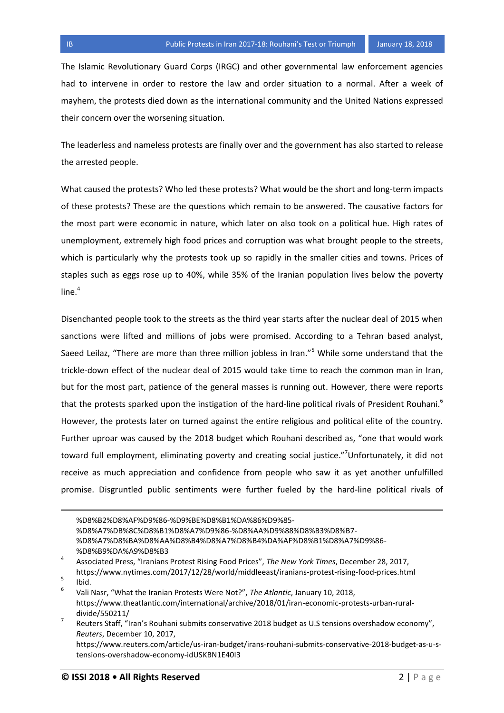The Islamic Revolutionary Guard Corps (IRGC) and other governmental law enforcement agencies had to intervene in order to restore the law and order situation to a normal. After a week of mayhem, the protests died down as the international community and the United Nations expressed their concern over the worsening situation.

The leaderless and nameless protests are finally over and the government has also started to release the arrested people.

What caused the protests? Who led these protests? What would be the short and long-term impacts of these protests? These are the questions which remain to be answered. The causative factors for the most part were economic in nature, which later on also took on a political hue. High rates of unemployment, extremely high food prices and corruption was what brought people to the streets, which is particularly why the protests took up so rapidly in the smaller cities and towns. Prices of staples such as eggs rose up to 40%, while 35% of the Iranian population lives below the poverty line. $4$ 

Disenchanted people took to the streets as the third year starts after the nuclear deal of 2015 when sanctions were lifted and millions of jobs were promised. According to a Tehran based analyst, Saeed Leilaz, "There are more than three million jobless in Iran."<sup>5</sup> While some understand that the trickle-down effect of the nuclear deal of 2015 would take time to reach the common man in Iran, but for the most part, patience of the general masses is running out. However, there were reports that the protests sparked upon the instigation of the hard-line political rivals of President Rouhani.<sup>6</sup> However, the protests later on turned against the entire religious and political elite of the country. Further uproar was caused by the 2018 budget which Rouhani described as, "one that would work toward full employment, eliminating poverty and creating social justice."<sup>7</sup>Unfortunately, it did not receive as much appreciation and confidence from people who saw it as yet another unfulfilled promise. Disgruntled public sentiments were further fueled by the hard-line political rivals of

```
%D8%B2%D8%AF%D9%86-%D9%BE%D8%B1%DA%86%D9%85-
%D8%A7%DB%8C%D8%B1%D8%A7%D9%86-%D8%AA%D9%88%D8%B3%D8%B7-
%D8%A7%D8%BA%D8%AA%D8%B4%D8%A7%D8%B4%DA%AF%D8%B1%D8%A7%D9%86-
%D8%B9%DA%A9%D8%B3
```
l

<sup>4</sup> Associated Press, "Iranians Protest Rising Food Prices", *The New York Times*, December 28, 2017, https://www.nytimes.com/2017/12/28/world/middleeast/iranians-protest-rising-food-prices.html

<sup>5</sup> Ibid.

<sup>6</sup> Vali Nasr, "What the Iranian Protests Were Not?", *The Atlantic*, January 10, 2018, [https://www.theatlantic.com/international/archive/2018/01/iran-economic-protests-urban-rural](https://www.theatlantic.com/international/archive/2018/01/iran-economic-protests-urban-rural-divide/550211/)[divide/550211/](https://www.theatlantic.com/international/archive/2018/01/iran-economic-protests-urban-rural-divide/550211/)

<sup>7</sup> Reuters Staff, "Iran's Rouhani submits conservative 2018 budget as U.S tensions overshadow economy", *Reuters*, December 10, 2017,

https://www.reuters.com/article/us-iran-budget/irans-rouhani-submits-conservative-2018-budget-as-u-stensions-overshadow-economy-idUSKBN1E40I3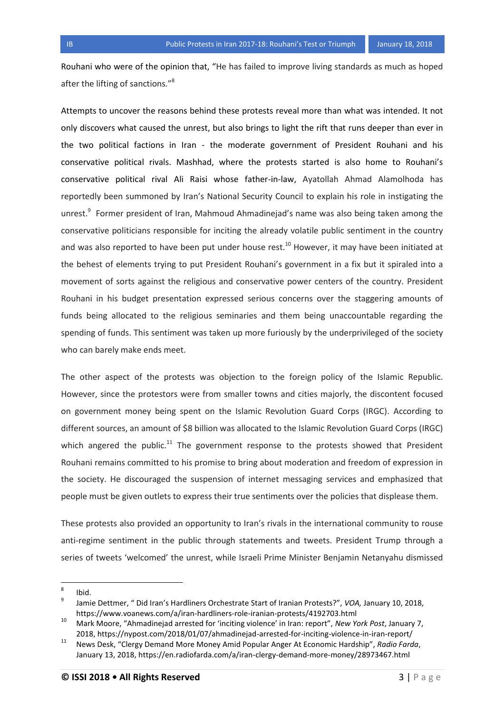Rouhani who were of the opinion that, "He has failed to improve living standards as much as hoped after the lifting of sanctions."<sup>8</sup>

Attempts to uncover the reasons behind these protests reveal more than what was intended. It not only discovers what caused the unrest, but also brings to light the rift that runs deeper than ever in the two political factions in Iran - the moderate government of President Rouhani and his conservative political rivals. Mashhad, where the protests started is also home to Rouhani's conservative political rival Ali Raisi whose father-in-law, Ayatollah Ahmad Alamolhoda has reportedly been summoned by Iran's National Security Council to explain his role in instigating the unrest.<sup>9</sup> Former president of Iran, Mahmoud Ahmadinejad's name was also being taken among the conservative politicians responsible for inciting the already volatile public sentiment in the country and was also reported to have been put under house rest.<sup>10</sup> However, it may have been initiated at the behest of elements trying to put President Rouhani's government in a fix but it spiraled into a movement of sorts against the religious and conservative power centers of the country. President Rouhani in his budget presentation expressed serious concerns over the staggering amounts of funds being allocated to the religious seminaries and them being unaccountable regarding the spending of funds. This sentiment was taken up more furiously by the underprivileged of the society who can barely make ends meet.

The other aspect of the protests was objection to the foreign policy of the Islamic Republic. However, since the protestors were from smaller towns and cities majorly, the discontent focused on government money being spent on the Islamic Revolution Guard Corps (IRGC). According to different sources, an amount of \$8 billion was allocated to the Islamic Revolution Guard Corps (IRGC) which angered the public.<sup>11</sup> The government response to the protests showed that President Rouhani remains committed to his promise to bring about moderation and freedom of expression in the society. He discouraged the suspension of internet messaging services and emphasized that people must be given outlets to express their true sentiments over the policies that displease them.

These protests also provided an opportunity to Iran's rivals in the international community to rouse anti-regime sentiment in the public through statements and tweets. President Trump through a series of tweets 'welcomed' the unrest, while Israeli Prime Minister Benjamin Netanyahu dismissed

<sup>-&</sup>lt;br>8 Ibid.

<sup>9</sup> Jamie Dettmer, " Did Iran's Hardliners Orchestrate Start of Iranian Protests?", *VOA,* January 10, 2018, https://www.voanews.com/a/iran-hardliners-role-iranian-protests/4192703.html

<sup>10</sup> Mark Moore, "Ahmadinejad arrested for 'inciting violence' in Iran: report", *New York Post*, January 7, 2018, https://nypost.com/2018/01/07/ahmadinejad-arrested-for-inciting-violence-in-iran-report/

<sup>11</sup> News Desk, "Clergy Demand More Money Amid Popular Anger At Economic Hardship", *Radio Farda*, January 13, 2018, https://en.radiofarda.com/a/iran-clergy-demand-more-money/28973467.html